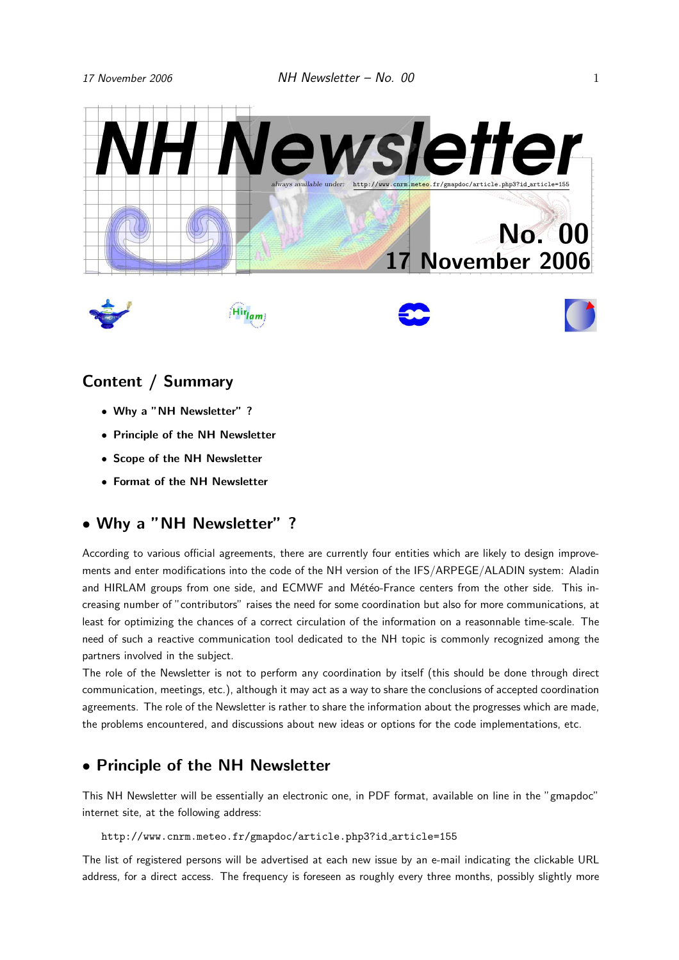

# Content / Summary

- Why a "NH Newsletter" ?
- Principle of the NH Newsletter
- Scope of the NH Newsletter
- Format of the NH Newsletter

### • Why a "NH Newsletter" ?

According to various official agreements, there are currently four entities which are likely to design improvements and enter modifications into the code of the NH version of the IFS/ARPEGE/ALADIN system: Aladin and HIRLAM groups from one side, and ECMWF and Météo-France centers from the other side. This increasing number of "contributors" raises the need for some coordination but also for more communications, at least for optimizing the chances of a correct circulation of the information on a reasonnable time-scale. The need of such a reactive communication tool dedicated to the NH topic is commonly recognized among the partners involved in the subject.

The role of the Newsletter is not to perform any coordination by itself (this should be done through direct communication, meetings, etc.), although it may act as a way to share the conclusions of accepted coordination agreements. The role of the Newsletter is rather to share the information about the progresses which are made, the problems encountered, and discussions about new ideas or options for the code implementations, etc.

# • Principle of the NH Newsletter

This NH Newsletter will be essentially an electronic one, in PDF format, available on line in the "gmapdoc" internet site, at the following address:

http://www.cnrm.meteo.fr/gmapdoc/article.php3?id article=155

The list of registered persons will be advertised at each new issue by an e-mail indicating the clickable URL address, for a direct access. The frequency is foreseen as roughly every three months, possibly slightly more